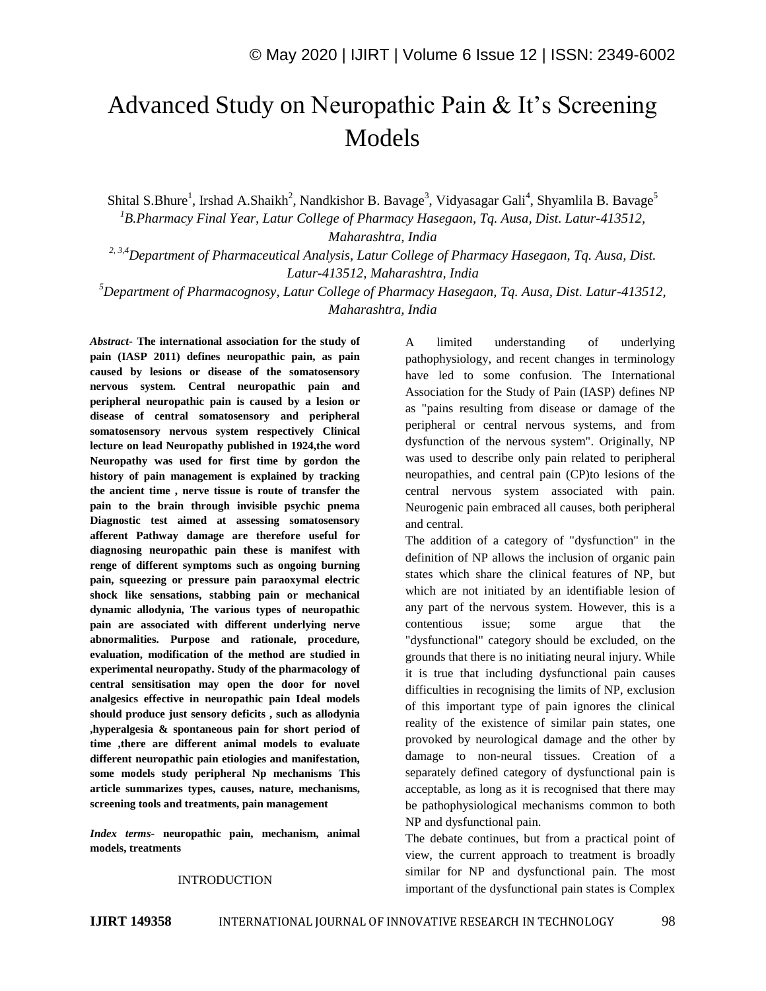# Advanced Study on Neuropathic Pain & It's Screening Models

Shital S.Bhure<sup>1</sup>, Irshad A.Shaikh<sup>2</sup>, Nandkishor B. Bavage<sup>3</sup>, Vidyasagar Gali<sup>4</sup>, Shyamlila B. Bavage<sup>5</sup> *<sup>1</sup>B.Pharmacy Final Year, Latur College of Pharmacy Hasegaon, Tq. Ausa, Dist. Latur-413512, Maharashtra, India*

*2, 3,4Department of Pharmaceutical Analysis, Latur College of Pharmacy Hasegaon, Tq. Ausa, Dist. Latur-413512, Maharashtra, India*

*<sup>5</sup>Department of Pharmacognosy, Latur College of Pharmacy Hasegaon, Tq. Ausa, Dist. Latur-413512, Maharashtra, India*

*Abstract*- **The international association for the study of pain (IASP 2011) defines neuropathic pain, as pain caused by lesions or disease of the somatosensory nervous system. Central neuropathic pain and peripheral neuropathic pain is caused by a lesion or disease of central somatosensory and peripheral somatosensory nervous system respectively Clinical lecture on lead Neuropathy published in 1924,the word Neuropathy was used for first time by gordon the history of pain management is explained by tracking the ancient time , nerve tissue is route of transfer the pain to the brain through invisible psychic pnema Diagnostic test aimed at assessing somatosensory afferent Pathway damage are therefore useful for diagnosing neuropathic pain these is manifest with renge of different symptoms such as ongoing burning pain, squeezing or pressure pain paraoxymal electric shock like sensations, stabbing pain or mechanical dynamic allodynia, The various types of neuropathic pain are associated with different underlying nerve abnormalities. Purpose and rationale, procedure, evaluation, modification of the method are studied in experimental neuropathy. Study of the pharmacology of central sensitisation may open the door for novel analgesics effective in neuropathic pain Ideal models should produce just sensory deficits , such as allodynia ,hyperalgesia & spontaneous pain for short period of time ,there are different animal models to evaluate different neuropathic pain etiologies and manifestation, some models study peripheral Np mechanisms This article summarizes types, causes, nature, mechanisms, screening tools and treatments, pain management**

*Index terms***- neuropathic pain, mechanism, animal models, treatments**

## INTRODUCTION

A limited understanding of underlying pathophysiology, and recent changes in terminology have led to some confusion. The International Association for the Study of Pain (IASP) defines NP as "pains resulting from disease or damage of the peripheral or central nervous systems, and from dysfunction of the nervous system". Originally, NP was used to describe only pain related to peripheral neuropathies, and central pain (CP)to lesions of the central nervous system associated with pain. Neurogenic pain embraced all causes, both peripheral and central.

The addition of a category of "dysfunction" in the definition of NP allows the inclusion of organic pain states which share the clinical features of NP, but which are not initiated by an identifiable lesion of any part of the nervous system. However, this is a contentious issue; some argue that the "dysfunctional" category should be excluded, on the grounds that there is no initiating neural injury. While it is true that including dysfunctional pain causes difficulties in recognising the limits of NP, exclusion of this important type of pain ignores the clinical reality of the existence of similar pain states, one provoked by neurological damage and the other by damage to non-neural tissues. Creation of a separately defined category of dysfunctional pain is acceptable, as long as it is recognised that there may be pathophysiological mechanisms common to both NP and dysfunctional pain.

The debate continues, but from a practical point of view, the current approach to treatment is broadly similar for NP and dysfunctional pain. The most important of the dysfunctional pain states is Complex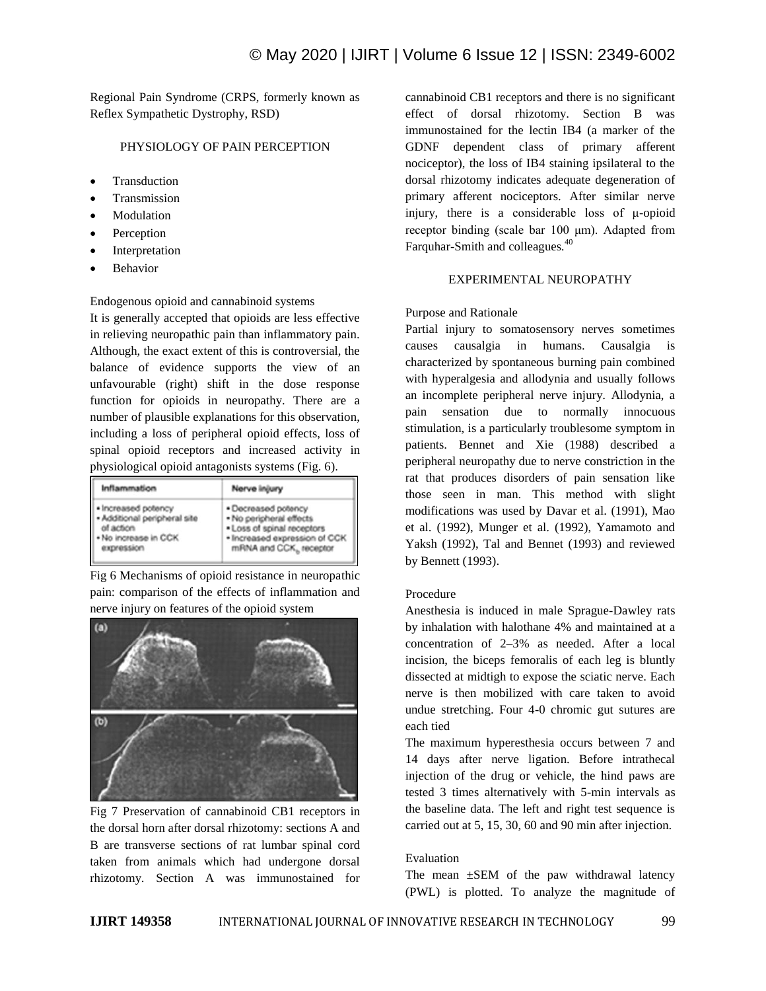Regional Pain Syndrome (CRPS, formerly known as Reflex Sympathetic Dystrophy, RSD)

## PHYSIOLOGY OF PAIN PERCEPTION

- **Transduction**
- Transmission
- Modulation
- Perception
- Interpretation
- Behavior

## Endogenous opioid and cannabinoid systems

It is generally accepted that opioids are less effective in relieving neuropathic pain than inflammatory pain. Although, the exact extent of this is controversial, the balance of evidence supports the view of an unfavourable (right) shift in the dose response function for opioids in neuropathy. There are a number of plausible explanations for this observation, including a loss of peripheral opioid effects, loss of spinal opioid receptors and increased activity in physiological opioid antagonists systems (Fig. 6).

| Inflammation                 | Nerve injury                  |
|------------------------------|-------------------------------|
| . Increased potency          | · Decreased potency           |
| - Additional peripheral site | . No peripheral effects       |
| of action                    | . Loss of spinal receptors    |
| . No increase in CCK         | · Increased expression of CCK |
| expression                   | mRNA and CCK, receptor        |

Fig 6 Mechanisms of opioid resistance in neuropathic pain: comparison of the effects of inflammation and nerve injury on features of the opioid system



Fig 7 Preservation of cannabinoid CB1 receptors in the dorsal horn after dorsal rhizotomy: sections A and B are transverse sections of rat lumbar spinal cord taken from animals which had undergone dorsal rhizotomy. Section A was immunostained for cannabinoid CB1 receptors and there is no significant effect of dorsal rhizotomy. Section B was immunostained for the lectin IB4 (a marker of the GDNF dependent class of primary afferent nociceptor), the loss of IB4 staining ipsilateral to the dorsal rhizotomy indicates adequate degeneration of primary afferent nociceptors. After similar nerve injury, there is a considerable loss of μ-opioid receptor binding (scale bar 100 μm). Adapted from Farquhar-Smith and colleagues*.* 40

## EXPERIMENTAL NEUROPATHY

#### Purpose and Rationale

Partial injury to somatosensory nerves sometimes causes causalgia in humans. Causalgia is characterized by spontaneous burning pain combined with hyperalgesia and allodynia and usually follows an incomplete peripheral nerve injury. Allodynia, a pain sensation due to normally innocuous stimulation, is a particularly troublesome symptom in patients. Bennet and Xie (1988) described a peripheral neuropathy due to nerve constriction in the rat that produces disorders of pain sensation like those seen in man. This method with slight modifications was used by Davar et al. (1991), Mao et al. (1992), Munger et al. (1992), Yamamoto and Yaksh (1992), Tal and Bennet (1993) and reviewed by Bennett (1993).

#### Procedure

Anesthesia is induced in male Sprague-Dawley rats by inhalation with halothane 4% and maintained at a concentration of 2–3% as needed. After a local incision, the biceps femoralis of each leg is bluntly dissected at midtigh to expose the sciatic nerve. Each nerve is then mobilized with care taken to avoid undue stretching. Four 4-0 chromic gut sutures are each tied

The maximum hyperesthesia occurs between 7 and 14 days after nerve ligation. Before intrathecal injection of the drug or vehicle, the hind paws are tested 3 times alternatively with 5-min intervals as the baseline data. The left and right test sequence is carried out at 5, 15, 30, 60 and 90 min after injection.

#### Evaluation

The mean  $\pm$ SEM of the paw withdrawal latency (PWL) is plotted. To analyze the magnitude of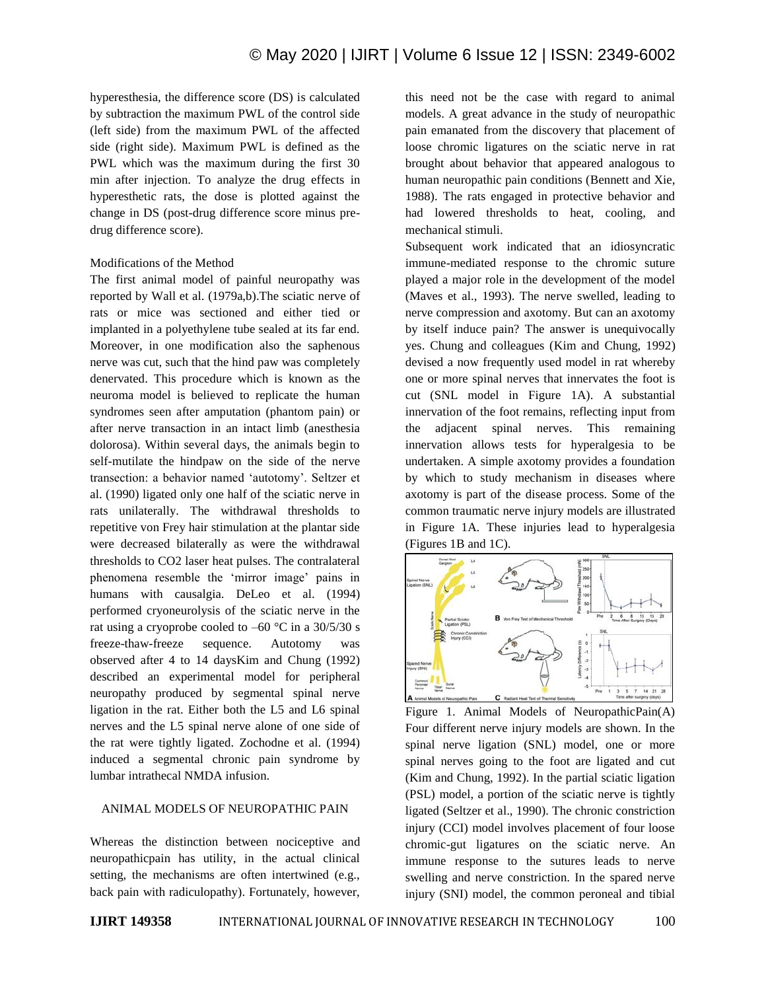hyperesthesia, the difference score (DS) is calculated by subtraction the maximum PWL of the control side (left side) from the maximum PWL of the affected side (right side). Maximum PWL is defined as the PWL which was the maximum during the first 30 min after injection. To analyze the drug effects in hyperesthetic rats, the dose is plotted against the change in DS (post-drug difference score minus predrug difference score).

#### Modifications of the Method

The first animal model of painful neuropathy was reported by Wall et al. (1979a,b).The sciatic nerve of rats or mice was sectioned and either tied or implanted in a polyethylene tube sealed at its far end. Moreover, in one modification also the saphenous nerve was cut, such that the hind paw was completely denervated. This procedure which is known as the neuroma model is believed to replicate the human syndromes seen after amputation (phantom pain) or after nerve transaction in an intact limb (anesthesia dolorosa). Within several days, the animals begin to self-mutilate the hindpaw on the side of the nerve transection: a behavior named 'autotomy'. Seltzer et al. (1990) ligated only one half of the sciatic nerve in rats unilaterally. The withdrawal thresholds to repetitive von Frey hair stimulation at the plantar side were decreased bilaterally as were the withdrawal thresholds to CO2 laser heat pulses. The contralateral phenomena resemble the 'mirror image' pains in humans with causalgia. DeLeo et al. (1994) performed cryoneurolysis of the sciatic nerve in the rat using a cryoprobe cooled to  $-60$  °C in a 30/5/30 s freeze-thaw-freeze sequence. Autotomy was observed after 4 to 14 daysKim and Chung (1992) described an experimental model for peripheral neuropathy produced by segmental spinal nerve ligation in the rat. Either both the L5 and L6 spinal nerves and the L5 spinal nerve alone of one side of the rat were tightly ligated. Zochodne et al. (1994) induced a segmental chronic pain syndrome by lumbar intrathecal NMDA infusion.

## ANIMAL MODELS OF NEUROPATHIC PAIN

Whereas the distinction between nociceptive and neuropathicpain has utility, in the actual clinical setting, the mechanisms are often intertwined (e.g., back pain with radiculopathy). Fortunately, however,

this need not be the case with regard to animal models. A great advance in the study of neuropathic pain emanated from the discovery that placement of loose chromic ligatures on the sciatic nerve in rat brought about behavior that appeared analogous to human neuropathic pain conditions (Bennett and Xie, 1988). The rats engaged in protective behavior and had lowered thresholds to heat, cooling, and mechanical stimuli.

Subsequent work indicated that an idiosyncratic immune-mediated response to the chromic suture played a major role in the development of the model (Maves et al., 1993). The nerve swelled, leading to nerve compression and axotomy. But can an axotomy by itself induce pain? The answer is unequivocally yes. Chung and colleagues (Kim and Chung, 1992) devised a now frequently used model in rat whereby one or more spinal nerves that innervates the foot is cut (SNL model in Figure 1A). A substantial innervation of the foot remains, reflecting input from the adjacent spinal nerves. This remaining innervation allows tests for hyperalgesia to be undertaken. A simple axotomy provides a foundation by which to study mechanism in diseases where axotomy is part of the disease process. Some of the common traumatic nerve injury models are illustrated in Figure 1A. These injuries lead to hyperalgesia (Figures 1B and 1C).



Figure 1. Animal Models of NeuropathicPain(A) Four different nerve injury models are shown. In the spinal nerve ligation (SNL) model, one or more spinal nerves going to the foot are ligated and cut (Kim and Chung, 1992). In the partial sciatic ligation (PSL) model, a portion of the sciatic nerve is tightly ligated (Seltzer et al., 1990). The chronic constriction injury (CCI) model involves placement of four loose chromic-gut ligatures on the sciatic nerve. An immune response to the sutures leads to nerve swelling and nerve constriction. In the spared nerve injury (SNI) model, the common peroneal and tibial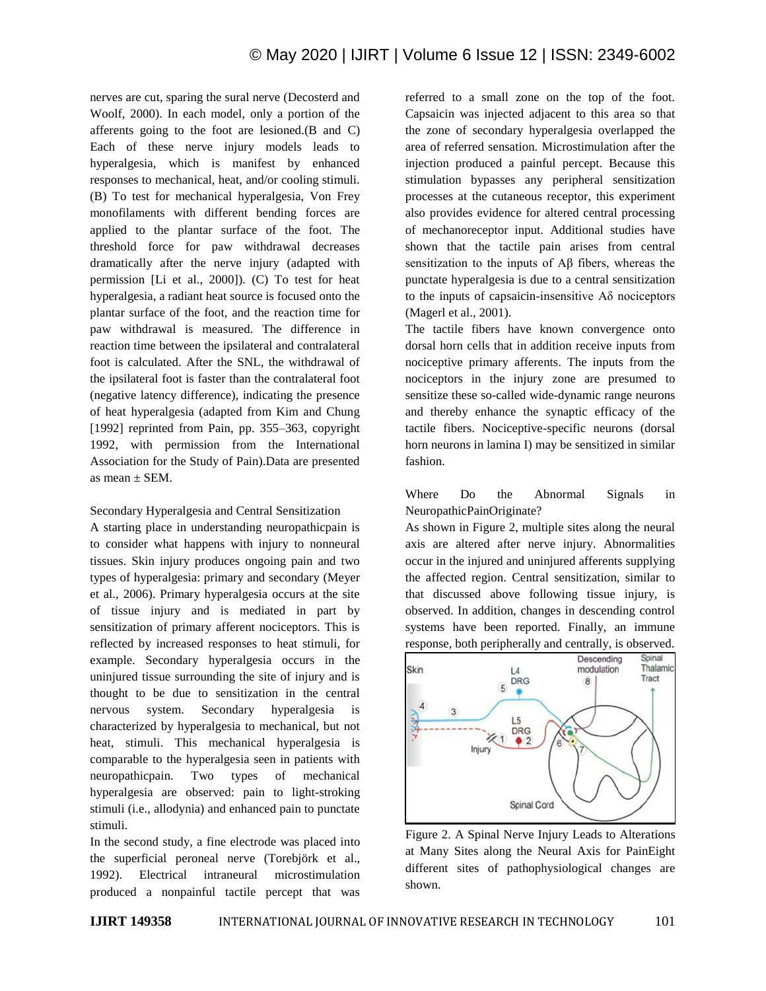nerves are cut, sparing the sural nerve (Decosterd and Woolf, 2000). In each model, only a portion of the afferents going to the foot are lesioned.(B and C) Each of these nerve injury models leads to hyperalgesia, which is manifest by enhanced responses to mechanical, heat, and/or cooling stimuli. (B) To test for mechanical hyperalgesia, Von Frey monofilaments with different bending forces are applied to the plantar surface of the foot. The threshold force for paw withdrawal decreases dramatically after the nerve injury (adapted with permission [Li et al., 2000]). (C) To test for heat hyperalgesia, a radiant heat source is focused onto the plantar surface of the foot, and the reaction time for paw withdrawal is measured. The difference in reaction time between the ipsilateral and contralateral foot is calculated. After the SNL, the withdrawal of the ipsilateral foot is faster than the contralateral foot (negative latency difference), indicating the presence of heat hyperalgesia (adapted from Kim and Chung [1992] reprinted from Pain, pp. 355–363, copyright 1992, with permission from the International Association for the Study of Pain).Data are presented as mean  $\pm$  SEM.

#### Secondary Hyperalgesia and Central Sensitization

A starting place in understanding neuropathicpain is to consider what happens with injury to nonneural tissues. Skin injury produces ongoing pain and two types of hyperalgesia: primary and secondary (Meyer et al., 2006). Primary hyperalgesia occurs at the site of tissue injury and is mediated in part by sensitization of primary afferent nociceptors. This is reflected by increased responses to heat stimuli, for example. Secondary hyperalgesia occurs in the uninjured tissue surrounding the site of injury and is thought to be due to sensitization in the central nervous system. Secondary hyperalgesia is characterized by hyperalgesia to mechanical, but not heat, stimuli. This mechanical hyperalgesia is comparable to the hyperalgesia seen in patients with neuropathicpain. Two types of mechanical hyperalgesia are observed: pain to light-stroking stimuli (i.e., allodynia) and enhanced pain to punctate stimuli.

In the second study, a fine electrode was placed into the superficial peroneal nerve (Torebjörk et al., 1992). Electrical intraneural microstimulation produced a nonpainful tactile percept that was referred to a small zone on the top of the foot. Capsaicin was injected adjacent to this area so that the zone of secondary hyperalgesia overlapped the area of referred sensation. Microstimulation after the injection produced a painful percept. Because this stimulation bypasses any peripheral sensitization processes at the cutaneous receptor, this experiment also provides evidence for altered central processing of mechanoreceptor input. Additional studies have shown that the tactile pain arises from central sensitization to the inputs of Aβ fibers, whereas the punctate hyperalgesia is due to a central sensitization to the inputs of capsaicin-insensitive Aδ nociceptors (Magerl et al., 2001).

The tactile fibers have known convergence onto dorsal horn cells that in addition receive inputs from nociceptive primary afferents. The inputs from the nociceptors in the injury zone are presumed to sensitize these so-called wide-dynamic range neurons and thereby enhance the synaptic efficacy of the tactile fibers. Nociceptive-specific neurons (dorsal horn neurons in lamina I) may be sensitized in similar fashion.

Where Do the Abnormal Signals in NeuropathicPainOriginate?

As shown in Figure 2, multiple sites along the neural axis are altered after nerve injury. Abnormalities occur in the injured and uninjured afferents supplying the affected region. Central sensitization, similar to that discussed above following tissue injury, is observed. In addition, changes in descending control systems have been reported. Finally, an immune response, both peripherally and centrally, is observed.



Figure 2. A Spinal Nerve Injury Leads to Alterations at Many Sites along the Neural Axis for PainEight different sites of pathophysiological changes are shown.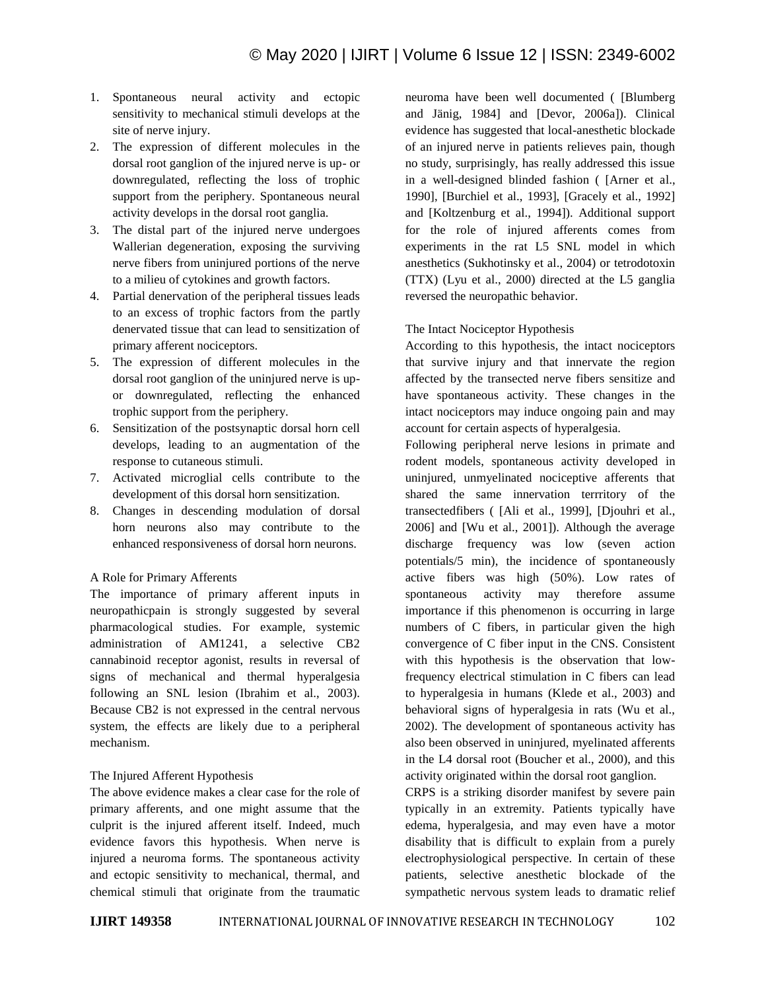- 1. Spontaneous neural activity and ectopic sensitivity to mechanical stimuli develops at the site of nerve injury.
- 2. The expression of different molecules in the dorsal root ganglion of the injured nerve is up- or downregulated, reflecting the loss of trophic support from the periphery. Spontaneous neural activity develops in the dorsal root ganglia.
- 3. The distal part of the injured nerve undergoes Wallerian degeneration, exposing the surviving nerve fibers from uninjured portions of the nerve to a milieu of cytokines and growth factors.
- 4. Partial denervation of the peripheral tissues leads to an excess of trophic factors from the partly denervated tissue that can lead to sensitization of primary afferent nociceptors.
- 5. The expression of different molecules in the dorsal root ganglion of the uninjured nerve is upor downregulated, reflecting the enhanced trophic support from the periphery.
- 6. Sensitization of the postsynaptic dorsal horn cell develops, leading to an augmentation of the response to cutaneous stimuli.
- 7. Activated microglial cells contribute to the development of this dorsal horn sensitization.
- 8. Changes in descending modulation of dorsal horn neurons also may contribute to the enhanced responsiveness of dorsal horn neurons.

## A Role for Primary Afferents

The importance of primary afferent inputs in neuropathicpain is strongly suggested by several pharmacological studies. For example, systemic administration of AM1241, a selective CB2 cannabinoid receptor agonist, results in reversal of signs of mechanical and thermal hyperalgesia following an SNL lesion (Ibrahim et al., 2003). Because CB2 is not expressed in the central nervous system, the effects are likely due to a peripheral mechanism.

# The Injured Afferent Hypothesis

The above evidence makes a clear case for the role of primary afferents, and one might assume that the culprit is the injured afferent itself. Indeed, much evidence favors this hypothesis. When nerve is injured a neuroma forms. The spontaneous activity and ectopic sensitivity to mechanical, thermal, and chemical stimuli that originate from the traumatic

neuroma have been well documented ( [Blumberg and Jänig, 1984] and [Devor, 2006a]). Clinical evidence has suggested that local-anesthetic blockade of an injured nerve in patients relieves pain, though no study, surprisingly, has really addressed this issue in a well-designed blinded fashion ( [Arner et al., 1990], [Burchiel et al., 1993], [Gracely et al., 1992] and [Koltzenburg et al., 1994]). Additional support for the role of injured afferents comes from experiments in the rat L5 SNL model in which anesthetics (Sukhotinsky et al., 2004) or tetrodotoxin (TTX) (Lyu et al., 2000) directed at the L5 ganglia reversed the neuropathic behavior.

## The Intact Nociceptor Hypothesis

According to this hypothesis, the intact nociceptors that survive injury and that innervate the region affected by the transected nerve fibers sensitize and have spontaneous activity. These changes in the intact nociceptors may induce ongoing pain and may account for certain aspects of hyperalgesia.

Following peripheral nerve lesions in primate and rodent models, spontaneous activity developed in uninjured, unmyelinated nociceptive afferents that shared the same innervation terrritory of the transectedfibers ( [Ali et al., 1999], [Djouhri et al., 2006] and [Wu et al., 2001]). Although the average discharge frequency was low (seven action potentials/5 min), the incidence of spontaneously active fibers was high (50%). Low rates of spontaneous activity may therefore assume importance if this phenomenon is occurring in large numbers of C fibers, in particular given the high convergence of C fiber input in the CNS. Consistent with this hypothesis is the observation that lowfrequency electrical stimulation in C fibers can lead to hyperalgesia in humans (Klede et al., 2003) and behavioral signs of hyperalgesia in rats (Wu et al., 2002). The development of spontaneous activity has also been observed in uninjured, myelinated afferents in the L4 dorsal root (Boucher et al., 2000), and this activity originated within the dorsal root ganglion.

CRPS is a striking disorder manifest by severe pain typically in an extremity. Patients typically have edema, hyperalgesia, and may even have a motor disability that is difficult to explain from a purely electrophysiological perspective. In certain of these patients, selective anesthetic blockade of the sympathetic nervous system leads to dramatic relief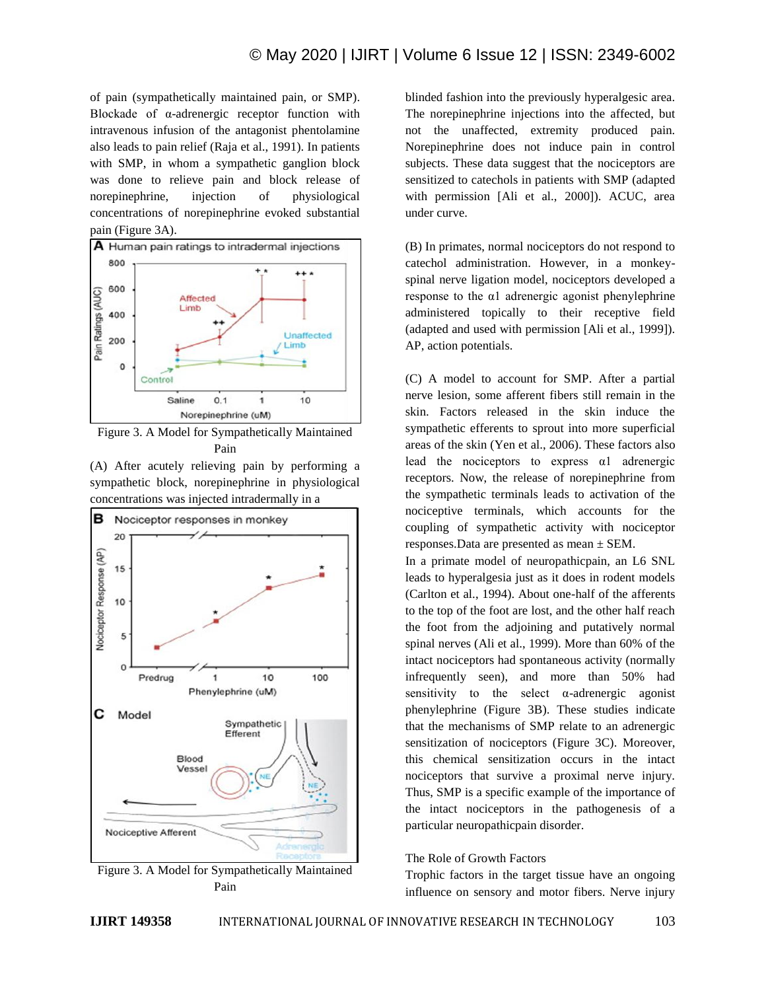of pain (sympathetically maintained pain, or SMP). Blockade of α-adrenergic receptor function with intravenous infusion of the antagonist phentolamine also leads to pain relief (Raja et al., 1991). In patients with SMP, in whom a sympathetic ganglion block was done to relieve pain and block release of norepinephrine, injection of physiological concentrations of norepinephrine evoked substantial pain (Figure 3A).



Figure 3. A Model for Sympathetically Maintained Pain

(A) After acutely relieving pain by performing a sympathetic block, norepinephrine in physiological concentrations was injected intradermally in a



Figure 3. A Model for Sympathetically Maintained Pain

blinded fashion into the previously hyperalgesic area. The norepinephrine injections into the affected, but not the unaffected, extremity produced pain. Norepinephrine does not induce pain in control subjects. These data suggest that the nociceptors are sensitized to catechols in patients with SMP (adapted with permission [Ali et al., 2000]). ACUC, area under curve.

(B) In primates, normal nociceptors do not respond to catechol administration. However, in a monkeyspinal nerve ligation model, nociceptors developed a response to the α1 adrenergic agonist phenylephrine administered topically to their receptive field (adapted and used with permission [Ali et al., 1999]). AP, action potentials.

(C) A model to account for SMP. After a partial nerve lesion, some afferent fibers still remain in the skin. Factors released in the skin induce the sympathetic efferents to sprout into more superficial areas of the skin (Yen et al., 2006). These factors also lead the nociceptors to express α1 adrenergic receptors. Now, the release of norepinephrine from the sympathetic terminals leads to activation of the nociceptive terminals, which accounts for the coupling of sympathetic activity with nociceptor responses.Data are presented as mean ± SEM.

In a primate model of neuropathicpain, an L6 SNL leads to hyperalgesia just as it does in rodent models (Carlton et al., 1994). About one-half of the afferents to the top of the foot are lost, and the other half reach the foot from the adjoining and putatively normal spinal nerves (Ali et al., 1999). More than 60% of the intact nociceptors had spontaneous activity (normally infrequently seen), and more than 50% had sensitivity to the select  $\alpha$ -adrenergic agonist phenylephrine (Figure 3B). These studies indicate that the mechanisms of SMP relate to an adrenergic sensitization of nociceptors (Figure 3C). Moreover, this chemical sensitization occurs in the intact nociceptors that survive a proximal nerve injury. Thus, SMP is a specific example of the importance of the intact nociceptors in the pathogenesis of a particular neuropathicpain disorder.

## The Role of Growth Factors

Trophic factors in the target tissue have an ongoing influence on sensory and motor fibers. Nerve injury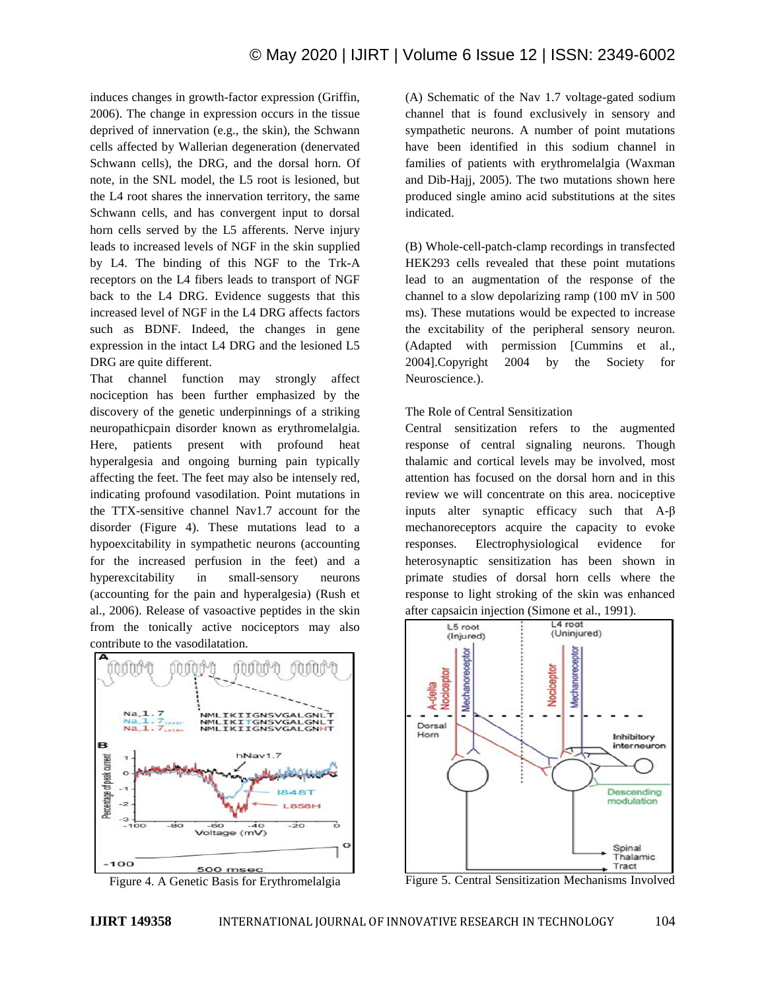induces changes in growth-factor expression (Griffin, 2006). The change in expression occurs in the tissue deprived of innervation (e.g., the skin), the Schwann cells affected by Wallerian degeneration (denervated Schwann cells), the DRG, and the dorsal horn. Of note, in the SNL model, the L5 root is lesioned, but the L4 root shares the innervation territory, the same Schwann cells, and has convergent input to dorsal horn cells served by the L5 afferents. Nerve injury leads to increased levels of NGF in the skin supplied by L4. The binding of this NGF to the Trk-A receptors on the L4 fibers leads to transport of NGF back to the L4 DRG. Evidence suggests that this increased level of NGF in the L4 DRG affects factors such as BDNF. Indeed, the changes in gene expression in the intact L4 DRG and the lesioned L5 DRG are quite different.

That channel function may strongly affect nociception has been further emphasized by the discovery of the genetic underpinnings of a striking neuropathicpain disorder known as erythromelalgia. Here, patients present with profound heat hyperalgesia and ongoing burning pain typically affecting the feet. The feet may also be intensely red, indicating profound vasodilation. Point mutations in the TTX-sensitive channel Nav1.7 account for the disorder (Figure 4). These mutations lead to a hypoexcitability in sympathetic neurons (accounting for the increased perfusion in the feet) and a hyperexcitability in small-sensory neurons (accounting for the pain and hyperalgesia) (Rush et al., 2006). Release of vasoactive peptides in the skin from the tonically active nociceptors may also contribute to the vasodilatation.



Figure 4. A Genetic Basis for Erythromelalgia

(A) Schematic of the Nav 1.7 voltage-gated sodium channel that is found exclusively in sensory and sympathetic neurons. A number of point mutations have been identified in this sodium channel in families of patients with erythromelalgia (Waxman and Dib-Hajj, 2005). The two mutations shown here produced single amino acid substitutions at the sites indicated.

(B) Whole-cell-patch-clamp recordings in transfected HEK293 cells revealed that these point mutations lead to an augmentation of the response of the channel to a slow depolarizing ramp (100 mV in 500 ms). These mutations would be expected to increase the excitability of the peripheral sensory neuron. (Adapted with permission [Cummins et al., 2004].Copyright 2004 by the Society for Neuroscience.).

## The Role of Central Sensitization

Central sensitization refers to the augmented response of central signaling neurons. Though thalamic and cortical levels may be involved, most attention has focused on the dorsal horn and in this review we will concentrate on this area. nociceptive inputs alter synaptic efficacy such that A-β mechanoreceptors acquire the capacity to evoke responses. Electrophysiological evidence for heterosynaptic sensitization has been shown in primate studies of dorsal horn cells where the response to light stroking of the skin was enhanced after capsaicin injection (Simone et al., 1991).



Figure 5. Central Sensitization Mechanisms Involved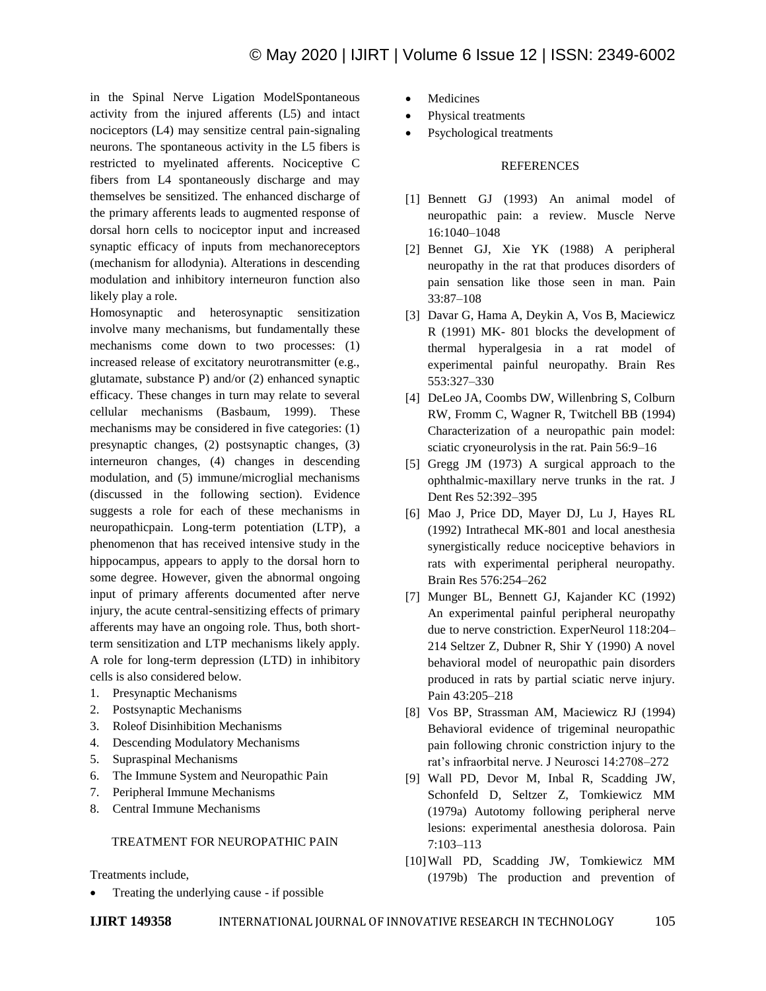in the Spinal Nerve Ligation ModelSpontaneous activity from the injured afferents (L5) and intact nociceptors (L4) may sensitize central pain-signaling neurons. The spontaneous activity in the L5 fibers is restricted to myelinated afferents. Nociceptive C fibers from L4 spontaneously discharge and may themselves be sensitized. The enhanced discharge of the primary afferents leads to augmented response of dorsal horn cells to nociceptor input and increased synaptic efficacy of inputs from mechanoreceptors (mechanism for allodynia). Alterations in descending modulation and inhibitory interneuron function also likely play a role.

Homosynaptic and heterosynaptic sensitization involve many mechanisms, but fundamentally these mechanisms come down to two processes: (1) increased release of excitatory neurotransmitter (e.g., glutamate, substance P) and/or (2) enhanced synaptic efficacy. These changes in turn may relate to several cellular mechanisms (Basbaum, 1999). These mechanisms may be considered in five categories: (1) presynaptic changes, (2) postsynaptic changes, (3) interneuron changes, (4) changes in descending modulation, and (5) immune/microglial mechanisms (discussed in the following section). Evidence suggests a role for each of these mechanisms in neuropathicpain. Long-term potentiation (LTP), a phenomenon that has received intensive study in the hippocampus, appears to apply to the dorsal horn to some degree. However, given the abnormal ongoing input of primary afferents documented after nerve injury, the acute central-sensitizing effects of primary afferents may have an ongoing role. Thus, both shortterm sensitization and LTP mechanisms likely apply. A role for long-term depression (LTD) in inhibitory cells is also considered below.

- 1. Presynaptic Mechanisms
- 2. Postsynaptic Mechanisms
- 3. Roleof Disinhibition Mechanisms
- 4. Descending Modulatory Mechanisms
- 5. Supraspinal Mechanisms
- 6. The Immune System and Neuropathic Pain
- 7. Peripheral Immune Mechanisms
- 8. Central Immune Mechanisms

#### TREATMENT FOR NEUROPATHIC PAIN

Treatments include,

Treating the underlying cause - if possible

- Medicines
- Physical treatments
- Psychological treatments

#### REFERENCES

- [1] Bennett GJ (1993) An animal model of neuropathic pain: a review. Muscle Nerve 16:1040–1048
- [2] Bennet GJ, Xie YK (1988) A peripheral neuropathy in the rat that produces disorders of pain sensation like those seen in man. Pain 33:87–108
- [3] Davar G, Hama A, Deykin A, Vos B, Maciewicz R (1991) MK- 801 blocks the development of thermal hyperalgesia in a rat model of experimental painful neuropathy. Brain Res 553:327–330
- [4] DeLeo JA, Coombs DW, Willenbring S, Colburn RW, Fromm C, Wagner R, Twitchell BB (1994) Characterization of a neuropathic pain model: sciatic cryoneurolysis in the rat. Pain 56:9–16
- [5] Gregg JM (1973) A surgical approach to the ophthalmic-maxillary nerve trunks in the rat. J Dent Res 52:392–395
- [6] Mao J, Price DD, Mayer DJ, Lu J, Hayes RL (1992) Intrathecal MK-801 and local anesthesia synergistically reduce nociceptive behaviors in rats with experimental peripheral neuropathy. Brain Res 576:254–262
- [7] Munger BL, Bennett GJ, Kajander KC (1992) An experimental painful peripheral neuropathy due to nerve constriction. ExperNeurol 118:204– 214 Seltzer Z, Dubner R, Shir Y (1990) A novel behavioral model of neuropathic pain disorders produced in rats by partial sciatic nerve injury. Pain 43:205–218
- [8] Vos BP, Strassman AM, Maciewicz RJ (1994) Behavioral evidence of trigeminal neuropathic pain following chronic constriction injury to the rat's infraorbital nerve. J Neurosci 14:2708–272
- [9] Wall PD, Devor M, Inbal R, Scadding JW, Schonfeld D, Seltzer Z, Tomkiewicz MM (1979a) Autotomy following peripheral nerve lesions: experimental anesthesia dolorosa. Pain 7:103–113
- [10]Wall PD, Scadding JW, Tomkiewicz MM (1979b) The production and prevention of